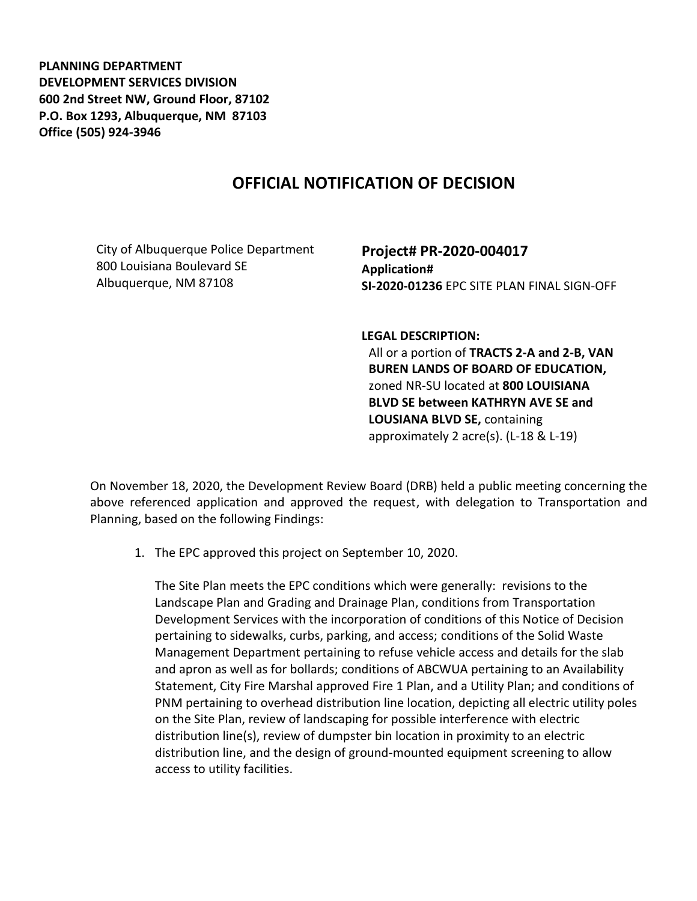**PLANNING DEPARTMENT DEVELOPMENT SERVICES DIVISION 600 2nd Street NW, Ground Floor, 87102 P.O. Box 1293, Albuquerque, NM 87103 Office (505) 924-3946** 

## **OFFICIAL NOTIFICATION OF DECISION**

City of Albuquerque Police Department 800 Louisiana Boulevard SE Albuquerque, NM 87108

**Project# PR-2020-004017 Application# SI-2020-01236** EPC SITE PLAN FINAL SIGN-OFF

**LEGAL DESCRIPTION:**

All or a portion of **TRACTS 2-A and 2-B, VAN BUREN LANDS OF BOARD OF EDUCATION,**  zoned NR-SU located at **800 LOUISIANA BLVD SE between KATHRYN AVE SE and LOUSIANA BLVD SE,** containing approximately 2 acre(s). (L-18 & L-19)

On November 18, 2020, the Development Review Board (DRB) held a public meeting concerning the above referenced application and approved the request, with delegation to Transportation and Planning, based on the following Findings:

1. The EPC approved this project on September 10, 2020.

The Site Plan meets the EPC conditions which were generally: revisions to the Landscape Plan and Grading and Drainage Plan, conditions from Transportation Development Services with the incorporation of conditions of this Notice of Decision pertaining to sidewalks, curbs, parking, and access; conditions of the Solid Waste Management Department pertaining to refuse vehicle access and details for the slab and apron as well as for bollards; conditions of ABCWUA pertaining to an Availability Statement, City Fire Marshal approved Fire 1 Plan, and a Utility Plan; and conditions of PNM pertaining to overhead distribution line location, depicting all electric utility poles on the Site Plan, review of landscaping for possible interference with electric distribution line(s), review of dumpster bin location in proximity to an electric distribution line, and the design of ground-mounted equipment screening to allow access to utility facilities.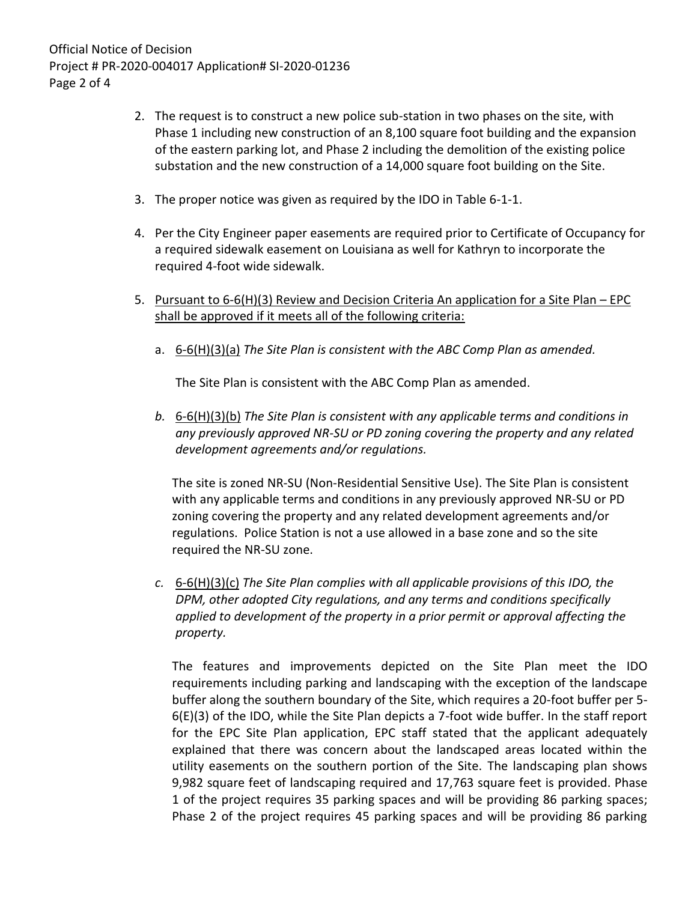- 2. The request is to construct a new police sub-station in two phases on the site, with Phase 1 including new construction of an 8,100 square foot building and the expansion of the eastern parking lot, and Phase 2 including the demolition of the existing police substation and the new construction of a 14,000 square foot building on the Site.
- 3. The proper notice was given as required by the IDO in Table 6-1-1.
- 4. Per the City Engineer paper easements are required prior to Certificate of Occupancy for a required sidewalk easement on Louisiana as well for Kathryn to incorporate the required 4-foot wide sidewalk.
- 5. Pursuant to 6-6(H)(3) Review and Decision Criteria An application for a Site Plan EPC shall be approved if it meets all of the following criteria:
	- a. 6-6(H)(3)(a) *The Site Plan is consistent with the ABC Comp Plan as amended.*

The Site Plan is consistent with the ABC Comp Plan as amended.

*b.* 6-6(H)(3)(b) *The Site Plan is consistent with any applicable terms and conditions in any previously approved NR-SU or PD zoning covering the property and any related development agreements and/or regulations.* 

The site is zoned NR-SU (Non-Residential Sensitive Use). The Site Plan is consistent with any applicable terms and conditions in any previously approved NR-SU or PD zoning covering the property and any related development agreements and/or regulations. Police Station is not a use allowed in a base zone and so the site required the NR-SU zone.

*c.* 6-6(H)(3)(c) *The Site Plan complies with all applicable provisions of this IDO, the DPM, other adopted City regulations, and any terms and conditions specifically applied to development of the property in a prior permit or approval affecting the property.* 

The features and improvements depicted on the Site Plan meet the IDO requirements including parking and landscaping with the exception of the landscape buffer along the southern boundary of the Site, which requires a 20-foot buffer per 5- 6(E)(3) of the IDO, while the Site Plan depicts a 7-foot wide buffer. In the staff report for the EPC Site Plan application, EPC staff stated that the applicant adequately explained that there was concern about the landscaped areas located within the utility easements on the southern portion of the Site. The landscaping plan shows 9,982 square feet of landscaping required and 17,763 square feet is provided. Phase 1 of the project requires 35 parking spaces and will be providing 86 parking spaces; Phase 2 of the project requires 45 parking spaces and will be providing 86 parking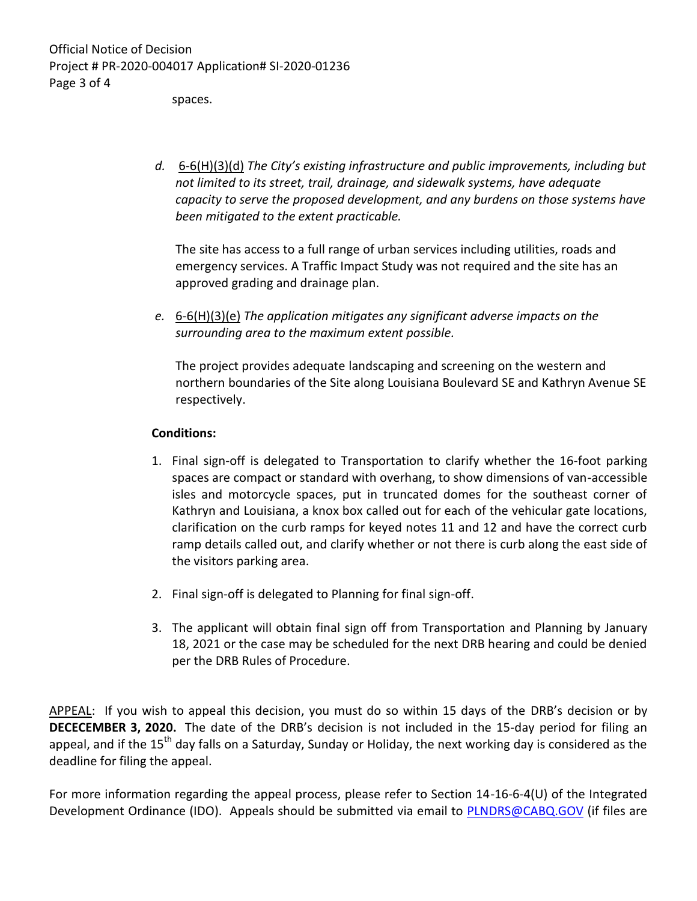spaces.

*d.* 6-6(H)(3)(d) *The City's existing infrastructure and public improvements, including but not limited to its street, trail, drainage, and sidewalk systems, have adequate capacity to serve the proposed development, and any burdens on those systems have been mitigated to the extent practicable.* 

The site has access to a full range of urban services including utilities, roads and emergency services. A Traffic Impact Study was not required and the site has an approved grading and drainage plan.

*e.* 6-6(H)(3)(e) *The application mitigates any significant adverse impacts on the surrounding area to the maximum extent possible.* 

The project provides adequate landscaping and screening on the western and northern boundaries of the Site along Louisiana Boulevard SE and Kathryn Avenue SE respectively.

## **Conditions:**

- 1. Final sign-off is delegated to Transportation to clarify whether the 16-foot parking spaces are compact or standard with overhang, to show dimensions of van-accessible isles and motorcycle spaces, put in truncated domes for the southeast corner of Kathryn and Louisiana, a knox box called out for each of the vehicular gate locations, clarification on the curb ramps for keyed notes 11 and 12 and have the correct curb ramp details called out, and clarify whether or not there is curb along the east side of the visitors parking area.
- 2. Final sign-off is delegated to Planning for final sign-off.
- 3. The applicant will obtain final sign off from Transportation and Planning by January 18, 2021 or the case may be scheduled for the next DRB hearing and could be denied per the DRB Rules of Procedure.

APPEAL: If you wish to appeal this decision, you must do so within 15 days of the DRB's decision or by **DECECEMBER 3, 2020.** The date of the DRB's decision is not included in the 15-day period for filing an appeal, and if the 15<sup>th</sup> day falls on a Saturday, Sunday or Holiday, the next working day is considered as the deadline for filing the appeal.

For more information regarding the appeal process, please refer to Section 14-16-6-4(U) of the Integrated Development Ordinance (IDO). Appeals should be submitted via email to [PLNDRS@CABQ.GOV](mailto:PLNDRS@CABQ.GOV) (if files are